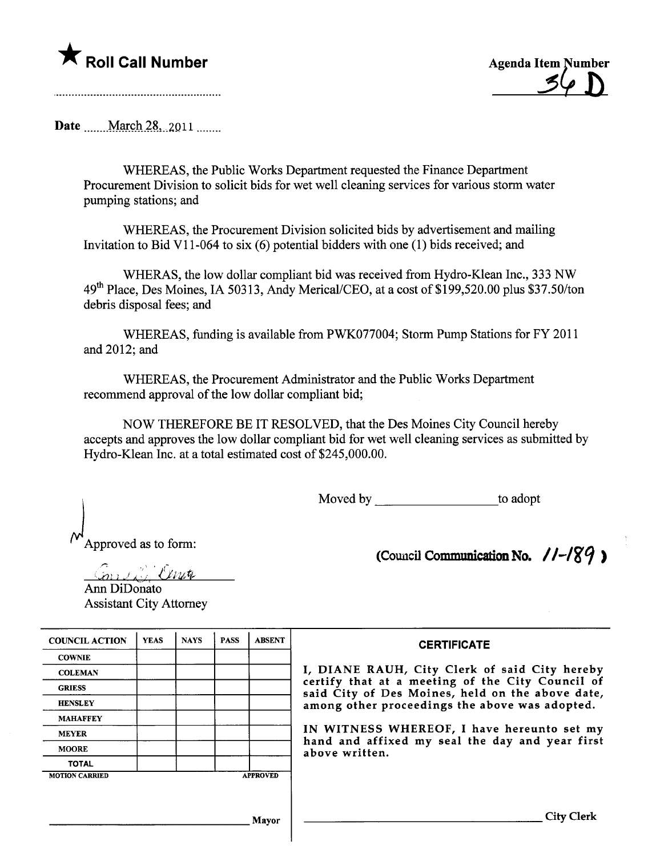## $\bigstar$  Roll Call Number

**Agenda Item Number** 

Date  $March 28, 2011$ 

WHEREAS, the Public Works Deparment requested the Finance Deparment Procurement Division to solicit bids for wet well cleaning services for various storm water pumping stations; and

WHEREAS, the Procurement Division solicited bids by advertisement and mailing Invitation to Bid VI 1-064 to six (6) potential bidders with one (1) bids received; and

WHERAS, the low dollar compliant bid was received from Hydro-Klean Inc., 333 NW 49<sup>th</sup> Place, Des Moines, IA 50313, Andy Merical/CEO, at a cost of \$199,520.00 plus \$37.50/ton debris disposal fees; and

WHEREAS, fuding is available from PWK077004; Storm Pump Stations for FY 2011 and 2012; and

WHEREAS, the Procurement Administrator and the Public Works Deparment recommend approval of the low dollar compliant bid;

NOW THEREFORE BE IT RESOLVED, that the Des Moines City Council hereby accepts and approves the low dollar compliant bid for wet well cleaning services as submitted by Hydro-Klean Inc. at a total estimated cost of \$245,000.00.

Moved by to adopt

Approved as to form:

(Council Communication No.  $11-\frac{189}{9}$ )

Emis i Cente Ann DiDonato Assistant City Attorney

| <b>YEAS</b> | <b>NAYS</b> | <b>PASS</b> | <b>ABSENT</b> | <b>CERTIFICATE</b>                                                                                   |
|-------------|-------------|-------------|---------------|------------------------------------------------------------------------------------------------------|
|             |             |             |               |                                                                                                      |
|             |             |             |               | I, DIANE RAUH, City Clerk of said City hereby                                                        |
|             |             |             |               | certify that at a meeting of the City Council of<br>said City of Des Moines, held on the above date, |
|             |             |             |               | among other proceedings the above was adopted.                                                       |
|             |             |             |               |                                                                                                      |
|             |             |             |               | IN WITNESS WHEREOF, I have hereunto set my                                                           |
|             |             |             |               | hand and affixed my seal the day and year first<br>above written.                                    |
|             |             |             |               |                                                                                                      |
|             |             |             |               |                                                                                                      |
|             |             |             |               |                                                                                                      |
|             |             |             |               | City Clerk                                                                                           |
|             |             |             |               | <b>APPROVED</b><br><b>Mayor</b>                                                                      |